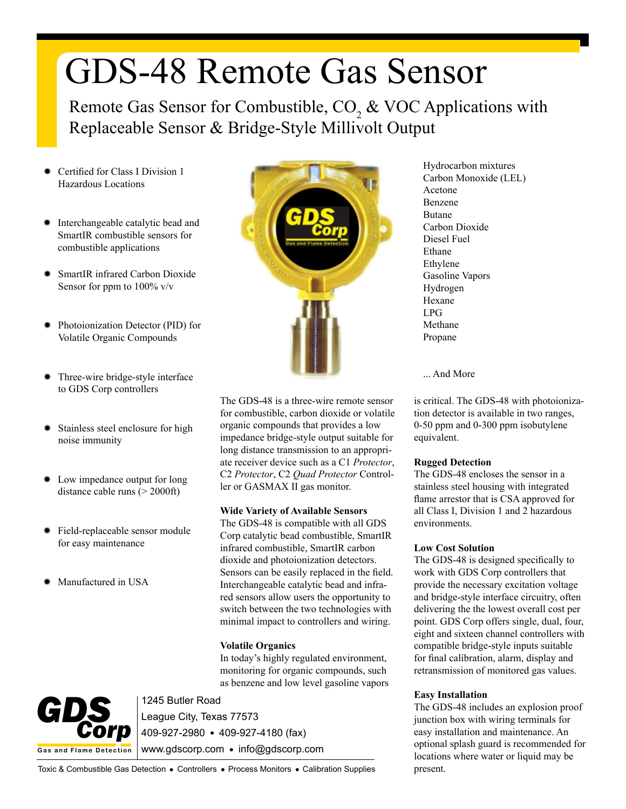# GDS-48 Remote Gas Sensor

Remote Gas Sensor for Combustible,  $CO_2$  & VOC Applications with Replaceable Sensor & Bridge-Style Millivolt Output

- Certified for Class I Division 1 Hazardous Locations
- Interchangeable catalytic bead and SmartIR combustible sensors for combustible applications
- SmartIR infrared Carbon Dioxide Sensor for ppm to  $100\%$  v/v
- Photoionization Detector (PID) for Volatile Organic Compounds
- Three-wire bridge-style interface to GDS Corp controllers
- Stainless steel enclosure for high noise immunity
- ✹ Low impedance output for long distance cable runs  $(> 2000 \text{ft})$
- ✹ Field-replaceable sensor module for easy maintenance
- ✹ Manufactured in USA



The GDS-48 is a three-wire remote sensor for combustible, carbon dioxide or volatile organic compounds that provides a low impedance bridge-style output suitable for long distance transmission to an appropriate receiver device such as a C1 *Protector*, C2 *Protector*, C2 *Quad Protector* Controller or GASMAX II gas monitor.

#### **Wide Variety of Available Sensors**

The GDS-48 is compatible with all GDS Corp catalytic bead combustible, SmartIR infrared combustible, SmartIR carbon dioxide and photoionization detectors. Sensors can be easily replaced in the field. Interchangeable catalytic bead and infrared sensors allow users the opportunity to switch between the two technologies with minimal impact to controllers and wiring.

### **Volatile Organics**

In today's highly regulated environment, monitoring for organic compounds, such as benzene and low level gasoline vapors



1245 Butler Road League City, Texas 77573 409-927-2980 409-927-4180 (fax) www.gdscorp.com • info@gdscorp.com

Hydrocarbon mixtures Carbon Monoxide (LEL) Acetone Benzene Butane Carbon Dioxide Diesel Fuel Ethane Ethylene Gasoline Vapors Hydrogen Hexane LPG Methane Propane

... And More

is critical. The GDS-48 with photoionization detector is available in two ranges, 0-50 ppm and 0-300 ppm isobutylene equivalent.

### **Rugged Detection**

The GDS-48 encloses the sensor in a stainless steel housing with integrated flame arrestor that is CSA approved for all Class I, Division 1 and 2 hazardous environments.

## **Low Cost Solution**

The GDS-48 is designed specifically to work with GDS Corp controllers that provide the necessary excitation voltage and bridge-style interface circuitry, often delivering the the lowest overall cost per point. GDS Corp offers single, dual, four, eight and sixteen channel controllers with compatible bridge-style inputs suitable for final calibration, alarm, display and retransmission of monitored gas values.

### **Easy Installation**

The GDS-48 includes an explosion proof junction box with wiring terminals for easy installation and maintenance. An optional splash guard is recommended for locations where water or liquid may be present.

Toxic & Combustible Gas Detection . Controllers . Process Monitors . Calibration Supplies